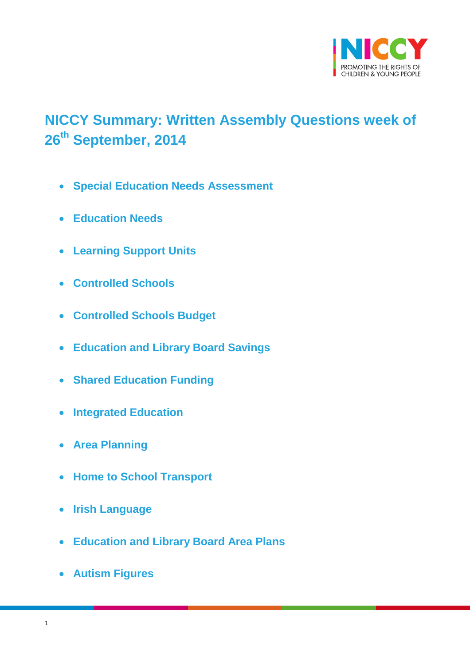

# <span id="page-0-0"></span>**NICCY Summary: Written Assembly Questions week of 26th September, 2014**

- **[Special Education Needs Assessment](#page-2-0)**
- **[Education Needs](#page-3-0)**
- **[Learning Support Units](#page-3-1)**
- **[Controlled Schools](#page-4-0)**
- **[Controlled Schools Budget](#page-4-1)**
- **[Education and Library Board Savings](#page-4-2)**
- **[Shared Education Funding](#page-5-0)**
- **[Integrated Education](#page-5-1)**
- **[Area Planning](#page-6-0)**
- **[Home to School Transport](#page-7-0)**
- **[Irish Language](#page-7-1)**
- **[Education and Library Board Area Plans](#page-8-0)**
- **[Autism Figures](#page-8-1)**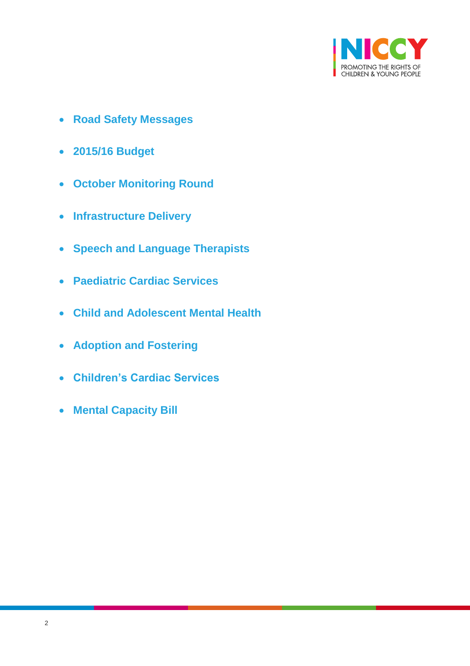

- **[Road Safety Messages](#page-10-0)**
- **[2015/16 Budget](#page-11-0)**
- **[October Monitoring Round](#page-11-1)**
- **[Infrastructure Delivery](#page-12-0)**
- **[Speech and Language Therapists](#page-13-0)**
- **Paediatric [Cardiac Services](#page-13-1)**
- **[Child and Adolescent Mental Health](#page-14-0)**
- **[Adoption and Fostering](#page-14-1)**
- **[Children's Cardiac Services](#page-15-0)**
- **[Mental Capacity Bill](#page-16-0)**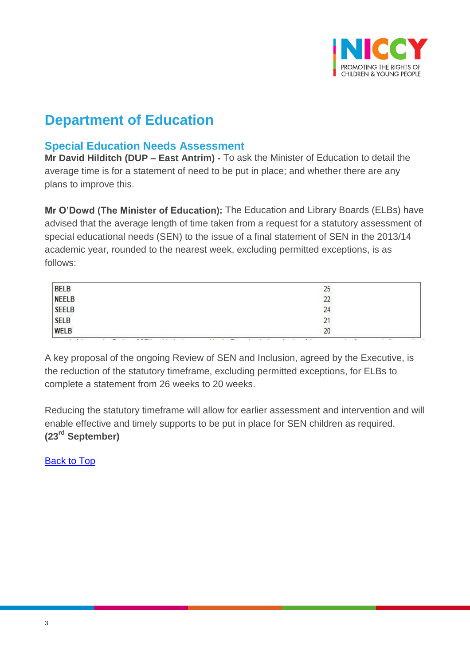

## **Department of Education**

## <span id="page-2-0"></span>**Special Education Needs Assessment**

**Mr David Hilditch (DUP – East Antrim) -** To ask the Minister of Education to detail the average time is for a statement of need to be put in place; and whether there are any plans to improve this.

**Mr O'Dowd (The Minister of Education):** The Education and Library Boards (ELBs) have advised that the average length of time taken from a request for a statutory assessment of special educational needs (SEN) to the issue of a final statement of SEN in the 2013/14 academic year, rounded to the nearest week, excluding permitted exceptions, is as follows:

|                                        | 25 |
|----------------------------------------|----|
|                                        | 22 |
| BELB<br>NEELB<br>SEELB<br>SELB<br>WELB | 24 |
|                                        |    |
|                                        | 20 |

A key proposal of the ongoing Review of SEN and Inclusion, agreed by the Executive, is the reduction of the statutory timeframe, excluding permitted exceptions, for ELBs to complete a statement from 26 weeks to 20 weeks.

Reducing the statutory timeframe will allow for earlier assessment and intervention and will enable effective and timely supports to be put in place for SEN children as required. **(23rd September)**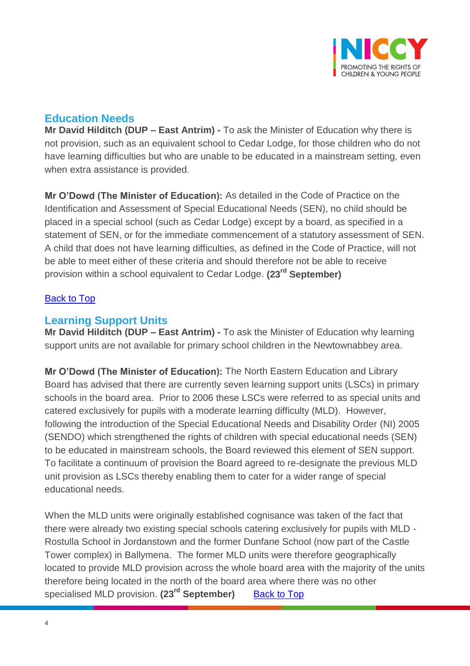

## <span id="page-3-0"></span>**Education Needs**

**Mr David Hilditch (DUP – East Antrim) -** To ask the Minister of Education why there is not provision, such as an equivalent school to Cedar Lodge, for those children who do not have learning difficulties but who are unable to be educated in a mainstream setting, even when extra assistance is provided.

**Mr O'Dowd (The Minister of Education):** As detailed in the Code of Practice on the Identification and Assessment of Special Educational Needs (SEN), no child should be placed in a special school (such as Cedar Lodge) except by a board, as specified in a statement of SEN, or for the immediate commencement of a statutory assessment of SEN. A child that does not have learning difficulties, as defined in the Code of Practice, will not be able to meet either of these criteria and should therefore not be able to receive provision within a school equivalent to Cedar Lodge. **(23rd September)**

#### [Back to Top](#page-0-0)

## <span id="page-3-1"></span>**Learning Support Units**

**Mr David Hilditch (DUP – East Antrim) -** To ask the Minister of Education why learning support units are not available for primary school children in the Newtownabbey area.

**Mr O'Dowd (The Minister of Education):** The North Eastern Education and Library Board has advised that there are currently seven learning support units (LSCs) in primary schools in the board area. Prior to 2006 these LSCs were referred to as special units and catered exclusively for pupils with a moderate learning difficulty (MLD). However, following the introduction of the Special Educational Needs and Disability Order (NI) 2005 (SENDO) which strengthened the rights of children with special educational needs (SEN) to be educated in mainstream schools, the Board reviewed this element of SEN support. To facilitate a continuum of provision the Board agreed to re-designate the previous MLD unit provision as LSCs thereby enabling them to cater for a wider range of special educational needs.

When the MLD units were originally established cognisance was taken of the fact that there were already two existing special schools catering exclusively for pupils with MLD - Rostulla School in Jordanstown and the former Dunfane School (now part of the Castle Tower complex) in Ballymena. The former MLD units were therefore geographically located to provide MLD provision across the whole board area with the majority of the units therefore being located in the north of the board area where there was no other specialised MLD provision. (23<sup>rd</sup> September) [Back to Top](#page-0-0)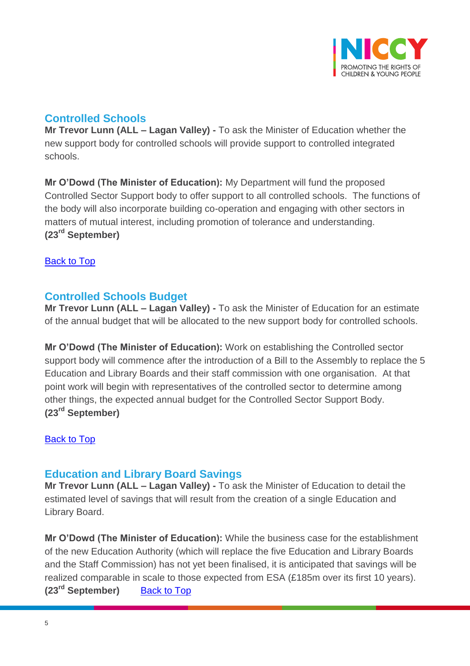

## <span id="page-4-0"></span>**Controlled Schools**

**Mr Trevor Lunn (ALL – Lagan Valley) -** To ask the Minister of Education whether the new support body for controlled schools will provide support to controlled integrated schools.

**Mr O'Dowd (The Minister of Education):** My Department will fund the proposed Controlled Sector Support body to offer support to all controlled schools. The functions of the body will also incorporate building co-operation and engaging with other sectors in matters of mutual interest, including promotion of tolerance and understanding. **(23rd September)**

[Back to Top](#page-0-0)

## <span id="page-4-1"></span>**Controlled Schools Budget**

**Mr Trevor Lunn (ALL – Lagan Valley) -** To ask the Minister of Education for an estimate of the annual budget that will be allocated to the new support body for controlled schools.

**Mr O'Dowd (The Minister of Education):** Work on establishing the Controlled sector support body will commence after the introduction of a Bill to the Assembly to replace the 5 Education and Library Boards and their staff commission with one organisation. At that point work will begin with representatives of the controlled sector to determine among other things, the expected annual budget for the Controlled Sector Support Body. **(23rd September)**

[Back to Top](#page-0-0)

## <span id="page-4-2"></span>**Education and Library Board Savings**

**Mr Trevor Lunn (ALL – Lagan Valley) -** To ask the Minister of Education to detail the estimated level of savings that will result from the creation of a single Education and Library Board.

**Mr O'Dowd (The Minister of Education):** While the business case for the establishment of the new Education Authority (which will replace the five Education and Library Boards and the Staff Commission) has not yet been finalised, it is anticipated that savings will be realized comparable in scale to those expected from ESA (£185m over its first 10 years). **(23rd September)** [Back to Top](#page-0-0)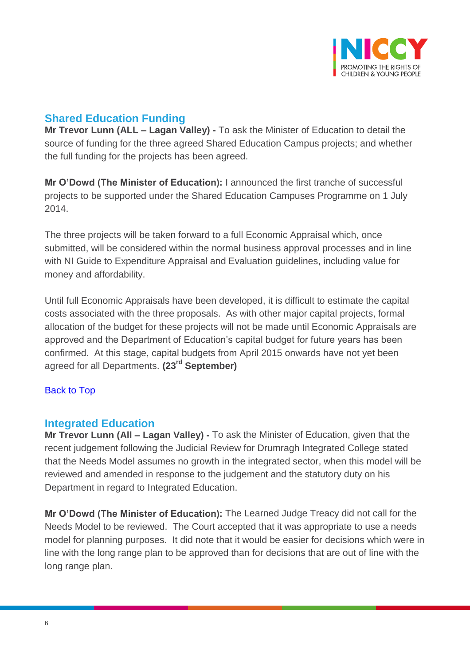

## <span id="page-5-0"></span>**Shared Education Funding**

**Mr Trevor Lunn (ALL – Lagan Valley) -** To ask the Minister of Education to detail the source of funding for the three agreed Shared Education Campus projects; and whether the full funding for the projects has been agreed.

**Mr O'Dowd (The Minister of Education):** I announced the first tranche of successful projects to be supported under the Shared Education Campuses Programme on 1 July 2014.

The three projects will be taken forward to a full Economic Appraisal which, once submitted, will be considered within the normal business approval processes and in line with NI Guide to Expenditure Appraisal and Evaluation guidelines, including value for money and affordability.

Until full Economic Appraisals have been developed, it is difficult to estimate the capital costs associated with the three proposals. As with other major capital projects, formal allocation of the budget for these projects will not be made until Economic Appraisals are approved and the Department of Education's capital budget for future years has been confirmed. At this stage, capital budgets from April 2015 onwards have not yet been agreed for all Departments. **(23rd September)**

#### [Back to Top](#page-0-0)

## <span id="page-5-1"></span>**Integrated Education**

**Mr Trevor Lunn (All – Lagan Valley) -** To ask the Minister of Education, given that the recent judgement following the Judicial Review for Drumragh Integrated College stated that the Needs Model assumes no growth in the integrated sector, when this model will be reviewed and amended in response to the judgement and the statutory duty on his Department in regard to Integrated Education.

**Mr O'Dowd (The Minister of Education):** The Learned Judge Treacy did not call for the Needs Model to be reviewed. The Court accepted that it was appropriate to use a needs model for planning purposes. It did note that it would be easier for decisions which were in line with the long range plan to be approved than for decisions that are out of line with the long range plan.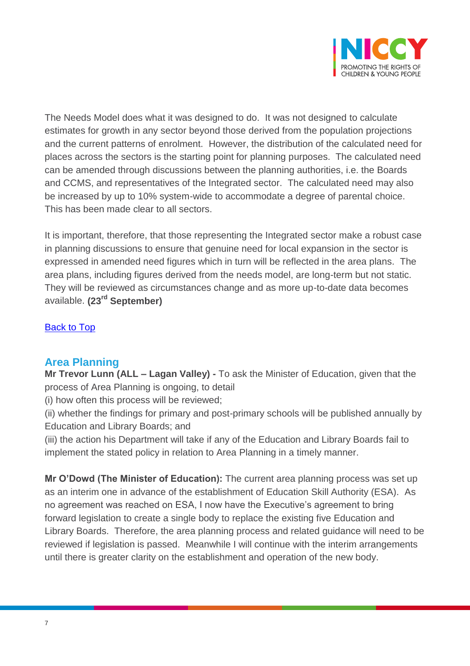

The Needs Model does what it was designed to do. It was not designed to calculate estimates for growth in any sector beyond those derived from the population projections and the current patterns of enrolment. However, the distribution of the calculated need for places across the sectors is the starting point for planning purposes. The calculated need can be amended through discussions between the planning authorities, i.e. the Boards and CCMS, and representatives of the Integrated sector. The calculated need may also be increased by up to 10% system-wide to accommodate a degree of parental choice. This has been made clear to all sectors.

It is important, therefore, that those representing the Integrated sector make a robust case in planning discussions to ensure that genuine need for local expansion in the sector is expressed in amended need figures which in turn will be reflected in the area plans. The area plans, including figures derived from the needs model, are long-term but not static. They will be reviewed as circumstances change and as more up-to-date data becomes available. **(23rd September)**

[Back to Top](#page-0-0)

## <span id="page-6-0"></span>**Area Planning**

**Mr Trevor Lunn (ALL – Lagan Valley) -** To ask the Minister of Education, given that the process of Area Planning is ongoing, to detail

(i) how often this process will be reviewed;

(ii) whether the findings for primary and post-primary schools will be published annually by Education and Library Boards; and

(iii) the action his Department will take if any of the Education and Library Boards fail to implement the stated policy in relation to Area Planning in a timely manner.

**Mr O'Dowd (The Minister of Education):** The current area planning process was set up as an interim one in advance of the establishment of Education Skill Authority (ESA). As no agreement was reached on ESA, I now have the Executive's agreement to bring forward legislation to create a single body to replace the existing five Education and Library Boards. Therefore, the area planning process and related guidance will need to be reviewed if legislation is passed. Meanwhile I will continue with the interim arrangements until there is greater clarity on the establishment and operation of the new body.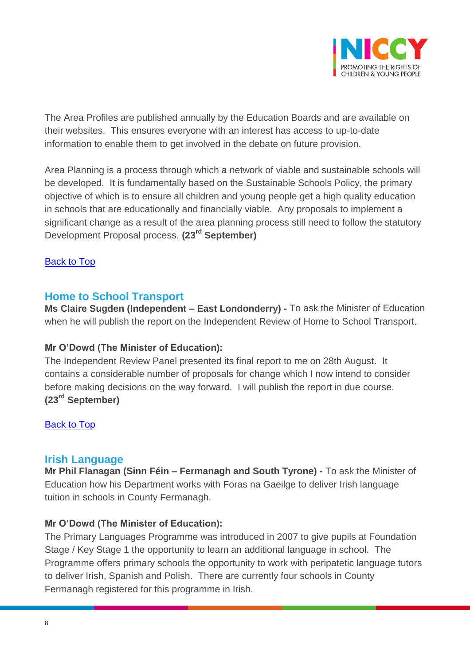

The Area Profiles are published annually by the Education Boards and are available on their websites. This ensures everyone with an interest has access to up-to-date information to enable them to get involved in the debate on future provision.

Area Planning is a process through which a network of viable and sustainable schools will be developed. It is fundamentally based on the Sustainable Schools Policy, the primary objective of which is to ensure all children and young people get a high quality education in schools that are educationally and financially viable. Any proposals to implement a significant change as a result of the area planning process still need to follow the statutory Development Proposal process. **(23rd September)**

#### [Back to Top](#page-0-0)

#### <span id="page-7-0"></span>**Home to School Transport**

**Ms Claire Sugden (Independent – East Londonderry) -** To ask the Minister of Education when he will publish the report on the Independent Review of Home to School Transport.

#### **Mr O'Dowd (The Minister of Education):**

The Independent Review Panel presented its final report to me on 28th August. It contains a considerable number of proposals for change which I now intend to consider before making decisions on the way forward. I will publish the report in due course. **(23rd September)**

[Back to Top](#page-0-0)

#### <span id="page-7-1"></span>**Irish Language**

**Mr Phil Flanagan (Sinn Féin – Fermanagh and South Tyrone) -** To ask the Minister of Education how his Department works with Foras na Gaeilge to deliver Irish language tuition in schools in County Fermanagh.

#### **Mr O'Dowd (The Minister of Education):**

The Primary Languages Programme was introduced in 2007 to give pupils at Foundation Stage / Key Stage 1 the opportunity to learn an additional language in school. The Programme offers primary schools the opportunity to work with peripatetic language tutors to deliver Irish, Spanish and Polish. There are currently four schools in County Fermanagh registered for this programme in Irish.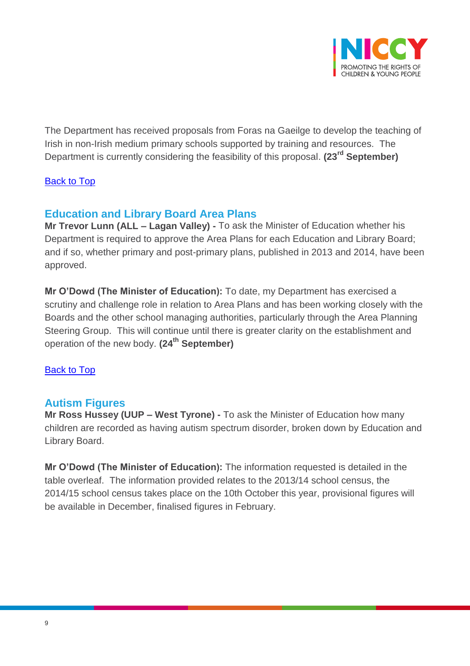

The Department has received proposals from Foras na Gaeilge to develop the teaching of Irish in non-Irish medium primary schools supported by training and resources. The Department is currently considering the feasibility of this proposal. **(23rd September)**

#### [Back to Top](#page-0-0)

## <span id="page-8-0"></span>**Education and Library Board Area Plans**

**Mr Trevor Lunn (ALL – Lagan Valley) -** To ask the Minister of Education whether his Department is required to approve the Area Plans for each Education and Library Board; and if so, whether primary and post-primary plans, published in 2013 and 2014, have been approved.

**Mr O'Dowd (The Minister of Education):** To date, my Department has exercised a scrutiny and challenge role in relation to Area Plans and has been working closely with the Boards and the other school managing authorities, particularly through the Area Planning Steering Group. This will continue until there is greater clarity on the establishment and operation of the new body. **(24th September)**

#### [Back to Top](#page-0-0)

#### <span id="page-8-1"></span>**Autism Figures**

**Mr Ross Hussey (UUP – West Tyrone) -** To ask the Minister of Education how many children are recorded as having autism spectrum disorder, broken down by Education and Library Board.

**Mr O'Dowd (The Minister of Education):** The information requested is detailed in the table overleaf. The information provided relates to the 2013/14 school census, the 2014/15 school census takes place on the 10th October this year, provisional figures will be available in December, finalised figures in February.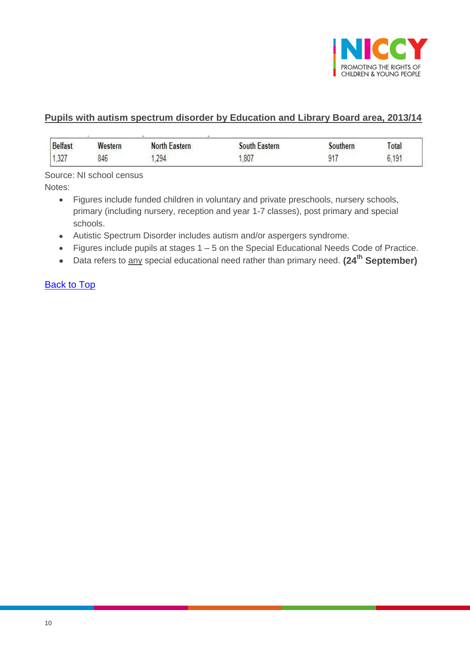

#### **Pupils with autism spectrum disorder by Education and Library Board area, 2013/14**

| <b>Belfast</b> | Western | <b>North Eastern</b> | Eastern<br>.∩⊔th | southern | Total |
|----------------|---------|----------------------|------------------|----------|-------|
| 227<br>.JZ1    | 846     | .294                 | .807             | $Q_1$    | 6,191 |

Source: NI school census

Notes:

- Figures include funded children in voluntary and private preschools, nursery schools, primary (including nursery, reception and year 1-7 classes), post primary and special schools.
- Autistic Spectrum Disorder includes autism and/or aspergers syndrome.
- Figures include pupils at stages 1 5 on the Special Educational Needs Code of Practice.
- Data refers to any special educational need rather than primary need. **(24th September)**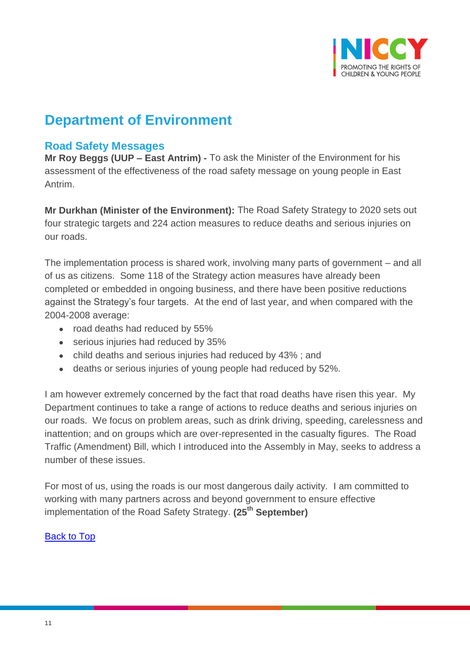

## **Department of Environment**

## <span id="page-10-0"></span>**Road Safety Messages**

**Mr Roy Beggs (UUP – East Antrim) -** To ask the Minister of the Environment for his assessment of the effectiveness of the road safety message on young people in East Antrim.

**Mr Durkhan (Minister of the Environment):** The Road Safety Strategy to 2020 sets out four strategic targets and 224 action measures to reduce deaths and serious injuries on our roads.

The implementation process is shared work, involving many parts of government – and all of us as citizens. Some 118 of the Strategy action measures have already been completed or embedded in ongoing business, and there have been positive reductions against the Strategy's four targets. At the end of last year, and when compared with the 2004-2008 average:

- road deaths had reduced by 55%
- serious injuries had reduced by 35%
- child deaths and serious injuries had reduced by 43% ; and
- deaths or serious injuries of young people had reduced by 52%.

I am however extremely concerned by the fact that road deaths have risen this year. My Department continues to take a range of actions to reduce deaths and serious injuries on our roads. We focus on problem areas, such as drink driving, speeding, carelessness and inattention; and on groups which are over-represented in the casualty figures. The Road Traffic (Amendment) Bill, which I introduced into the Assembly in May, seeks to address a number of these issues.

For most of us, using the roads is our most dangerous daily activity. I am committed to working with many partners across and beyond government to ensure effective implementation of the Road Safety Strategy. **(25th September)**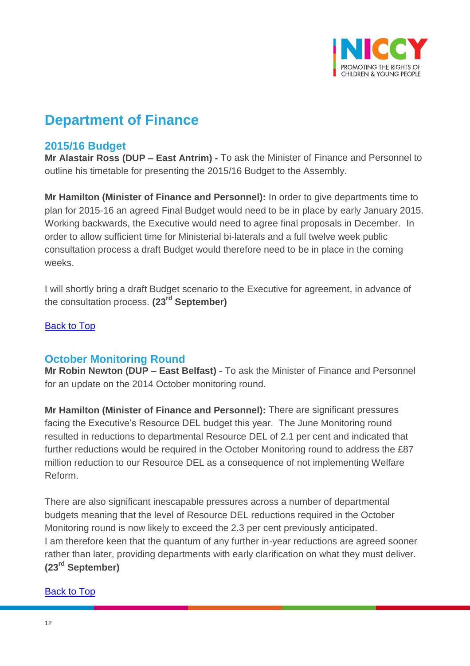

## **Department of Finance**

## <span id="page-11-0"></span>**2015/16 Budget**

**Mr Alastair Ross (DUP – East Antrim) -** To ask the Minister of Finance and Personnel to outline his timetable for presenting the 2015/16 Budget to the Assembly.

**Mr Hamilton (Minister of Finance and Personnel):** In order to give departments time to plan for 2015-16 an agreed Final Budget would need to be in place by early January 2015. Working backwards, the Executive would need to agree final proposals in December. In order to allow sufficient time for Ministerial bi-laterals and a full twelve week public consultation process a draft Budget would therefore need to be in place in the coming weeks.

I will shortly bring a draft Budget scenario to the Executive for agreement, in advance of the consultation process. **(23rd September)**

[Back to Top](#page-0-0)

## <span id="page-11-1"></span>**October Monitoring Round**

**Mr Robin Newton (DUP – East Belfast) -** To ask the Minister of Finance and Personnel for an update on the 2014 October monitoring round.

**Mr Hamilton (Minister of Finance and Personnel):** There are significant pressures facing the Executive's Resource DEL budget this year. The June Monitoring round resulted in reductions to departmental Resource DEL of 2.1 per cent and indicated that further reductions would be required in the October Monitoring round to address the £87 million reduction to our Resource DEL as a consequence of not implementing Welfare Reform.

There are also significant inescapable pressures across a number of departmental budgets meaning that the level of Resource DEL reductions required in the October Monitoring round is now likely to exceed the 2.3 per cent previously anticipated. I am therefore keen that the quantum of any further in-year reductions are agreed sooner rather than later, providing departments with early clarification on what they must deliver. **(23rd September)**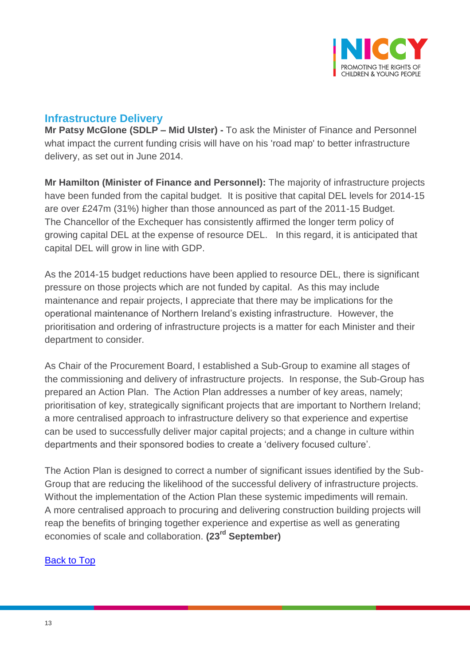

## <span id="page-12-0"></span>**Infrastructure Delivery**

**Mr Patsy McGlone (SDLP – Mid Ulster) -** To ask the Minister of Finance and Personnel what impact the current funding crisis will have on his 'road map' to better infrastructure delivery, as set out in June 2014.

**Mr Hamilton (Minister of Finance and Personnel):** The majority of infrastructure projects have been funded from the capital budget. It is positive that capital DEL levels for 2014-15 are over £247m (31%) higher than those announced as part of the 2011-15 Budget. The Chancellor of the Exchequer has consistently affirmed the longer term policy of growing capital DEL at the expense of resource DEL. In this regard, it is anticipated that capital DEL will grow in line with GDP.

As the 2014-15 budget reductions have been applied to resource DEL, there is significant pressure on those projects which are not funded by capital. As this may include maintenance and repair projects, I appreciate that there may be implications for the operational maintenance of Northern Ireland's existing infrastructure. However, the prioritisation and ordering of infrastructure projects is a matter for each Minister and their department to consider.

As Chair of the Procurement Board, I established a Sub-Group to examine all stages of the commissioning and delivery of infrastructure projects. In response, the Sub-Group has prepared an Action Plan. The Action Plan addresses a number of key areas, namely; prioritisation of key, strategically significant projects that are important to Northern Ireland; a more centralised approach to infrastructure delivery so that experience and expertise can be used to successfully deliver major capital projects; and a change in culture within departments and their sponsored bodies to create a 'delivery focused culture'.

The Action Plan is designed to correct a number of significant issues identified by the Sub-Group that are reducing the likelihood of the successful delivery of infrastructure projects. Without the implementation of the Action Plan these systemic impediments will remain. A more centralised approach to procuring and delivering construction building projects will reap the benefits of bringing together experience and expertise as well as generating economies of scale and collaboration. **(23rd September)**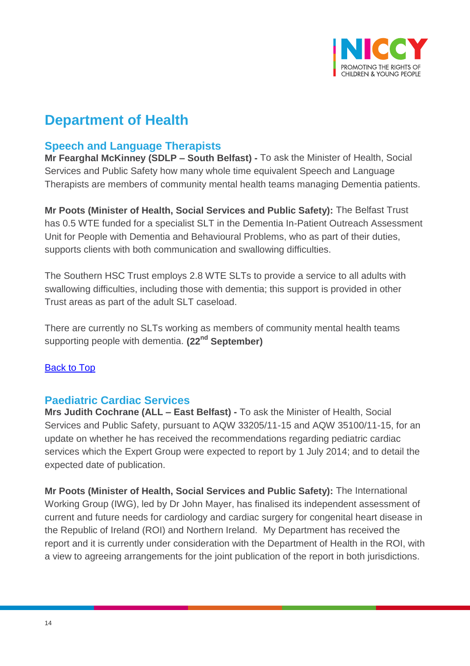

## **Department of Health**

## <span id="page-13-0"></span>**Speech and Language Therapists**

**Mr Fearghal McKinney (SDLP – South Belfast) -** To ask the Minister of Health, Social Services and Public Safety how many whole time equivalent Speech and Language Therapists are members of community mental health teams managing Dementia patients.

**Mr Poots (Minister of Health, Social Services and Public Safety):** The Belfast Trust has 0.5 WTE funded for a specialist SLT in the Dementia In-Patient Outreach Assessment Unit for People with Dementia and Behavioural Problems, who as part of their duties, supports clients with both communication and swallowing difficulties.

The Southern HSC Trust employs 2.8 WTE SLTs to provide a service to all adults with swallowing difficulties, including those with dementia; this support is provided in other Trust areas as part of the adult SLT caseload.

There are currently no SLTs working as members of community mental health teams supporting people with dementia. **(22nd September)**

## [Back to Top](#page-0-0)

## <span id="page-13-1"></span>**Paediatric Cardiac Services**

**Mrs Judith Cochrane (ALL – East Belfast) -** To ask the Minister of Health, Social Services and Public Safety, pursuant to AQW 33205/11-15 and AQW 35100/11-15, for an update on whether he has received the recommendations regarding pediatric cardiac services which the Expert Group were expected to report by 1 July 2014; and to detail the expected date of publication.

**Mr Poots (Minister of Health, Social Services and Public Safety):** The International Working Group (IWG), led by Dr John Mayer, has finalised its independent assessment of current and future needs for cardiology and cardiac surgery for congenital heart disease in the Republic of Ireland (ROI) and Northern Ireland. My Department has received the report and it is currently under consideration with the Department of Health in the ROI, with a view to agreeing arrangements for the joint publication of the report in both jurisdictions.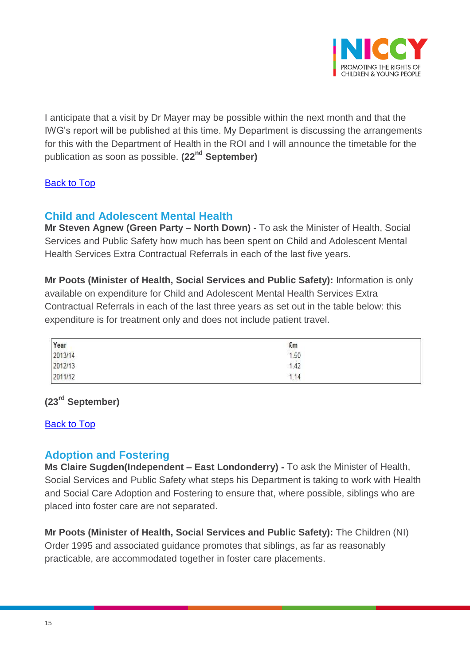

I anticipate that a visit by Dr Mayer may be possible within the next month and that the IWG's report will be published at this time. My Department is discussing the arrangements for this with the Department of Health in the ROI and I will announce the timetable for the publication as soon as possible. **(22nd September)**

#### [Back to Top](#page-0-0)

## <span id="page-14-0"></span>**Child and Adolescent Mental Health**

**Mr Steven Agnew (Green Party – North Down) -** To ask the Minister of Health, Social Services and Public Safety how much has been spent on Child and Adolescent Mental Health Services Extra Contractual Referrals in each of the last five years.

**Mr Poots (Minister of Health, Social Services and Public Safety):** Information is only available on expenditure for Child and Adolescent Mental Health Services Extra Contractual Referrals in each of the last three years as set out in the table below: this expenditure is for treatment only and does not include patient travel.

| Year<br>2013/14 | $\frac{2 \text{ m}}{1.50}$<br>1.42 |  |
|-----------------|------------------------------------|--|
| 2012/13         |                                    |  |
| 2011/12         | 1.14                               |  |

## **(23rd September)**

#### [Back to Top](#page-0-0)

#### <span id="page-14-1"></span>**Adoption and Fostering**

**Ms Claire Sugden(Independent – East Londonderry) -** To ask the Minister of Health, Social Services and Public Safety what steps his Department is taking to work with Health and Social Care Adoption and Fostering to ensure that, where possible, siblings who are placed into foster care are not separated.

**Mr Poots (Minister of Health, Social Services and Public Safety):** The Children (NI) Order 1995 and associated guidance promotes that siblings, as far as reasonably practicable, are accommodated together in foster care placements.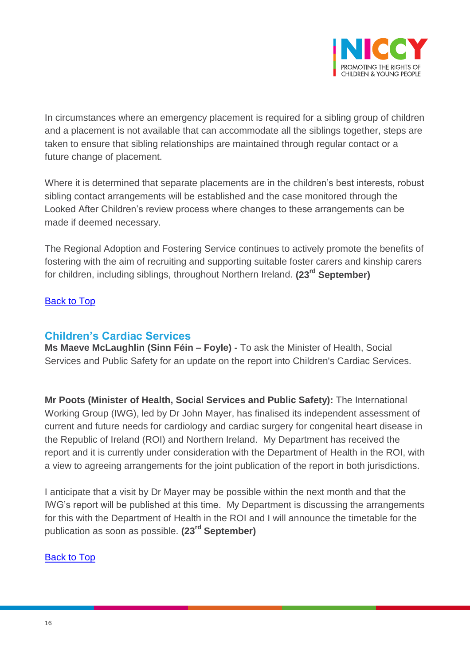

In circumstances where an emergency placement is required for a sibling group of children and a placement is not available that can accommodate all the siblings together, steps are taken to ensure that sibling relationships are maintained through regular contact or a future change of placement.

Where it is determined that separate placements are in the children's best interests, robust sibling contact arrangements will be established and the case monitored through the Looked After Children's review process where changes to these arrangements can be made if deemed necessary.

The Regional Adoption and Fostering Service continues to actively promote the benefits of fostering with the aim of recruiting and supporting suitable foster carers and kinship carers for children, including siblings, throughout Northern Ireland. **(23rd September)**

#### **[Back to Top](#page-0-0)**

## <span id="page-15-0"></span>**Children's Cardiac Services**

**Ms Maeve McLaughlin (Sinn Féin – Foyle) -** To ask the Minister of Health, Social Services and Public Safety for an update on the report into Children's Cardiac Services.

**Mr Poots (Minister of Health, Social Services and Public Safety):** The International Working Group (IWG), led by Dr John Mayer, has finalised its independent assessment of current and future needs for cardiology and cardiac surgery for congenital heart disease in the Republic of Ireland (ROI) and Northern Ireland. My Department has received the report and it is currently under consideration with the Department of Health in the ROI, with a view to agreeing arrangements for the joint publication of the report in both jurisdictions.

I anticipate that a visit by Dr Mayer may be possible within the next month and that the IWG's report will be published at this time. My Department is discussing the arrangements for this with the Department of Health in the ROI and I will announce the timetable for the publication as soon as possible. **(23rd September)**